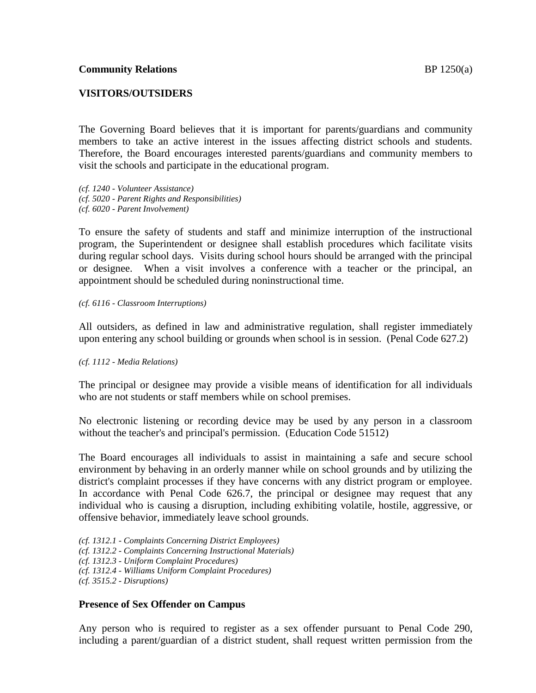#### **VISITORS/OUTSIDERS**

The Governing Board believes that it is important for parents/guardians and community members to take an active interest in the issues affecting district schools and students. Therefore, the Board encourages interested parents/guardians and community members to visit the schools and participate in the educational program.

*(cf. 1240 - Volunteer Assistance) (cf. 5020 - Parent Rights and Responsibilities) (cf. 6020 - Parent Involvement)*

To ensure the safety of students and staff and minimize interruption of the instructional program, the Superintendent or designee shall establish procedures which facilitate visits during regular school days. Visits during school hours should be arranged with the principal or designee. When a visit involves a conference with a teacher or the principal, an appointment should be scheduled during noninstructional time.

*(cf. 6116 - Classroom Interruptions)*

All outsiders, as defined in law and administrative regulation, shall register immediately upon entering any school building or grounds when school is in session. (Penal Code 627.2)

#### *(cf. 1112 - Media Relations)*

The principal or designee may provide a visible means of identification for all individuals who are not students or staff members while on school premises.

No electronic listening or recording device may be used by any person in a classroom without the teacher's and principal's permission. (Education Code 51512)

The Board encourages all individuals to assist in maintaining a safe and secure school environment by behaving in an orderly manner while on school grounds and by utilizing the district's complaint processes if they have concerns with any district program or employee. In accordance with Penal Code 626.7, the principal or designee may request that any individual who is causing a disruption, including exhibiting volatile, hostile, aggressive, or offensive behavior, immediately leave school grounds.

*(cf. 1312.1 - Complaints Concerning District Employees)*

*(cf. 1312.2 - Complaints Concerning Instructional Materials)*

*(cf. 1312.3 - Uniform Complaint Procedures)*

*(cf. 1312.4 - Williams Uniform Complaint Procedures)*

*(cf. 3515.2 - Disruptions)*

#### **Presence of Sex Offender on Campus**

Any person who is required to register as a sex offender pursuant to Penal Code 290, including a parent/guardian of a district student, shall request written permission from the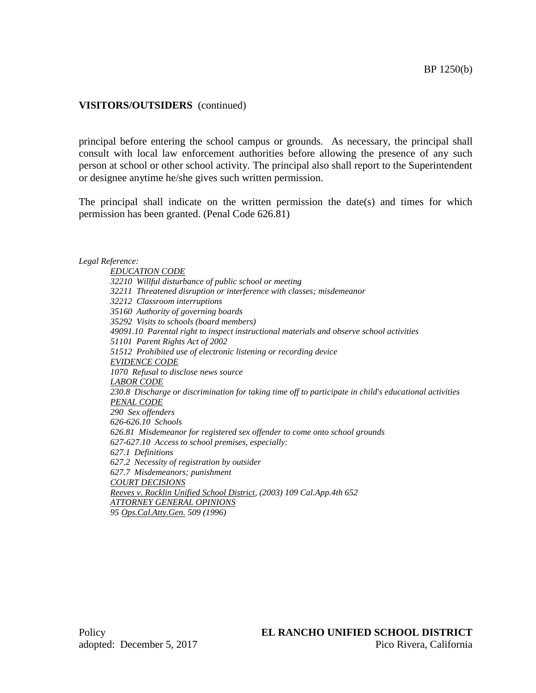## **VISITORS/OUTSIDERS** (continued)

principal before entering the school campus or grounds. As necessary, the principal shall consult with local law enforcement authorities before allowing the presence of any such person at school or other school activity. The principal also shall report to the Superintendent or designee anytime he/she gives such written permission.

The principal shall indicate on the written permission the date(s) and times for which permission has been granted. (Penal Code 626.81)

#### *Legal Reference:*

*EDUCATION CODE 32210 Willful disturbance of public school or meeting 32211 Threatened disruption or interference with classes; misdemeanor 32212 Classroom interruptions 35160 Authority of governing boards 35292 Visits to schools (board members) 49091.10 Parental right to inspect instructional materials and observe school activities 51101 Parent Rights Act of 2002 51512 Prohibited use of electronic listening or recording device EVIDENCE CODE 1070 Refusal to disclose news source LABOR CODE 230.8 Discharge or discrimination for taking time off to participate in child*'*s educational activities PENAL CODE 290 Sex offenders 626-626.10 Schools 626.81 Misdemeanor for registered sex offender to come onto school grounds 627-627.10 Access to school premises, especially: 627.1 Definitions 627.2 Necessity of registration by outsider 627.7 Misdemeanors; punishment COURT DECISIONS Reeves v. Rocklin Unified School District, (2003) 109 Cal.App.4th 652 ATTORNEY GENERAL OPINIONS*

*95 Ops.Cal.Atty.Gen. 509 (1996)*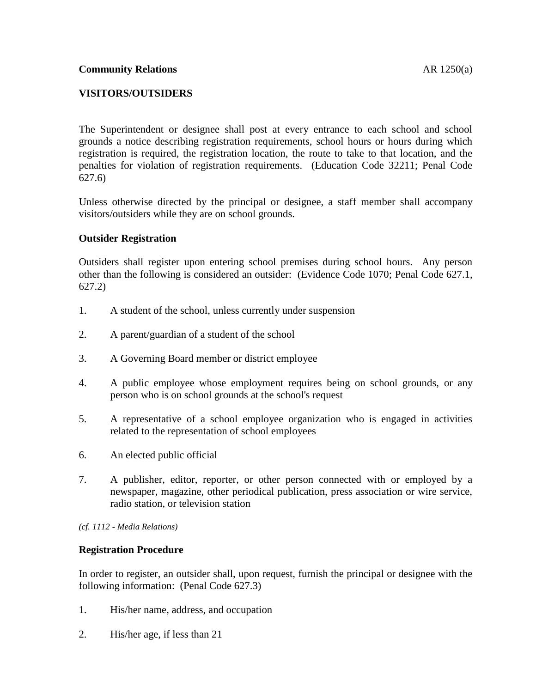# **VISITORS/OUTSIDERS**

The Superintendent or designee shall post at every entrance to each school and school grounds a notice describing registration requirements, school hours or hours during which registration is required, the registration location, the route to take to that location, and the penalties for violation of registration requirements. (Education Code 32211; Penal Code 627.6)

Unless otherwise directed by the principal or designee, a staff member shall accompany visitors/outsiders while they are on school grounds.

# **Outsider Registration**

Outsiders shall register upon entering school premises during school hours. Any person other than the following is considered an outsider: (Evidence Code 1070; Penal Code 627.1, 627.2)

- 1. A student of the school, unless currently under suspension
- 2. A parent/guardian of a student of the school
- 3. A Governing Board member or district employee
- 4. A public employee whose employment requires being on school grounds, or any person who is on school grounds at the school's request
- 5. A representative of a school employee organization who is engaged in activities related to the representation of school employees
- 6. An elected public official
- 7. A publisher, editor, reporter, or other person connected with or employed by a newspaper, magazine, other periodical publication, press association or wire service, radio station, or television station

*(cf. 1112 - Media Relations)*

### **Registration Procedure**

In order to register, an outsider shall, upon request, furnish the principal or designee with the following information: (Penal Code 627.3)

- 1. His/her name, address, and occupation
- 2. His/her age, if less than 21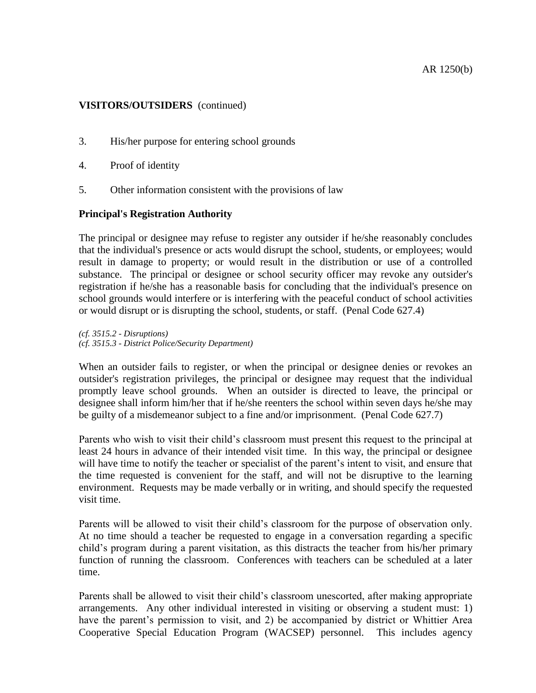#### AR 1250(b)

### **VISITORS/OUTSIDERS** (continued)

- 3. His/her purpose for entering school grounds
- 4. Proof of identity
- 5. Other information consistent with the provisions of law

### **Principal's Registration Authority**

The principal or designee may refuse to register any outsider if he/she reasonably concludes that the individual's presence or acts would disrupt the school, students, or employees; would result in damage to property; or would result in the distribution or use of a controlled substance. The principal or designee or school security officer may revoke any outsider's registration if he/she has a reasonable basis for concluding that the individual's presence on school grounds would interfere or is interfering with the peaceful conduct of school activities or would disrupt or is disrupting the school, students, or staff. (Penal Code 627.4)

*(cf. 3515.2 - Disruptions) (cf. 3515.3 - District Police/Security Department)*

When an outsider fails to register, or when the principal or designee denies or revokes an outsider's registration privileges, the principal or designee may request that the individual promptly leave school grounds. When an outsider is directed to leave, the principal or designee shall inform him/her that if he/she reenters the school within seven days he/she may be guilty of a misdemeanor subject to a fine and/or imprisonment. (Penal Code 627.7)

Parents who wish to visit their child's classroom must present this request to the principal at least 24 hours in advance of their intended visit time. In this way, the principal or designee will have time to notify the teacher or specialist of the parent's intent to visit, and ensure that the time requested is convenient for the staff, and will not be disruptive to the learning environment. Requests may be made verbally or in writing, and should specify the requested visit time.

Parents will be allowed to visit their child's classroom for the purpose of observation only. At no time should a teacher be requested to engage in a conversation regarding a specific child's program during a parent visitation, as this distracts the teacher from his/her primary function of running the classroom. Conferences with teachers can be scheduled at a later time.

Parents shall be allowed to visit their child's classroom unescorted, after making appropriate arrangements. Any other individual interested in visiting or observing a student must: 1) have the parent's permission to visit, and 2) be accompanied by district or Whittier Area Cooperative Special Education Program (WACSEP) personnel. This includes agency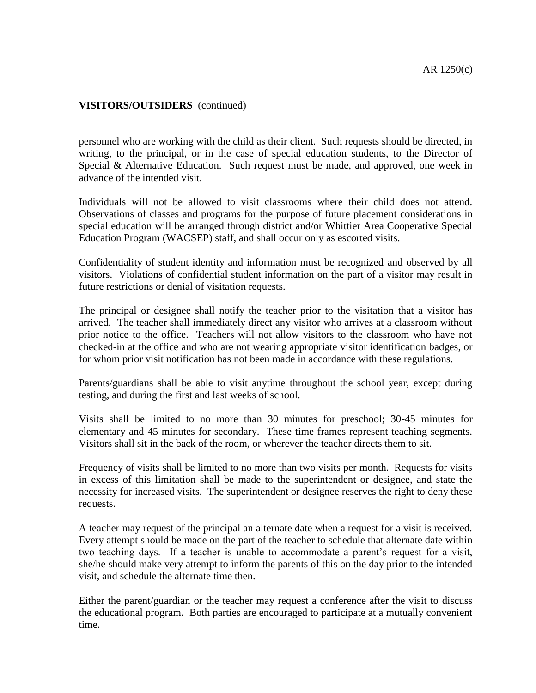### **VISITORS/OUTSIDERS** (continued)

personnel who are working with the child as their client. Such requests should be directed, in writing, to the principal, or in the case of special education students, to the Director of Special & Alternative Education. Such request must be made, and approved, one week in advance of the intended visit.

Individuals will not be allowed to visit classrooms where their child does not attend. Observations of classes and programs for the purpose of future placement considerations in special education will be arranged through district and/or Whittier Area Cooperative Special Education Program (WACSEP) staff, and shall occur only as escorted visits.

Confidentiality of student identity and information must be recognized and observed by all visitors. Violations of confidential student information on the part of a visitor may result in future restrictions or denial of visitation requests.

The principal or designee shall notify the teacher prior to the visitation that a visitor has arrived. The teacher shall immediately direct any visitor who arrives at a classroom without prior notice to the office. Teachers will not allow visitors to the classroom who have not checked-in at the office and who are not wearing appropriate visitor identification badges, or for whom prior visit notification has not been made in accordance with these regulations.

Parents/guardians shall be able to visit anytime throughout the school year, except during testing, and during the first and last weeks of school.

Visits shall be limited to no more than 30 minutes for preschool; 30-45 minutes for elementary and 45 minutes for secondary. These time frames represent teaching segments. Visitors shall sit in the back of the room, or wherever the teacher directs them to sit.

Frequency of visits shall be limited to no more than two visits per month. Requests for visits in excess of this limitation shall be made to the superintendent or designee, and state the necessity for increased visits. The superintendent or designee reserves the right to deny these requests.

A teacher may request of the principal an alternate date when a request for a visit is received. Every attempt should be made on the part of the teacher to schedule that alternate date within two teaching days. If a teacher is unable to accommodate a parent's request for a visit, she/he should make very attempt to inform the parents of this on the day prior to the intended visit, and schedule the alternate time then.

Either the parent/guardian or the teacher may request a conference after the visit to discuss the educational program. Both parties are encouraged to participate at a mutually convenient time.